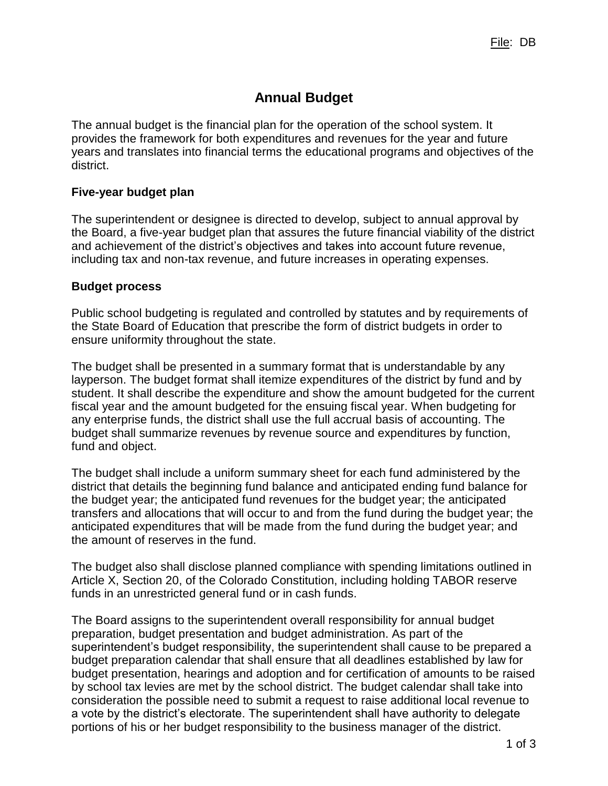# **Annual Budget**

The annual budget is the financial plan for the operation of the school system. It provides the framework for both expenditures and revenues for the year and future years and translates into financial terms the educational programs and objectives of the district.

## **Five-year budget plan**

The superintendent or designee is directed to develop, subject to annual approval by the Board, a five-year budget plan that assures the future financial viability of the district and achievement of the district's objectives and takes into account future revenue, including tax and non-tax revenue, and future increases in operating expenses.

## **Budget process**

Public school budgeting is regulated and controlled by statutes and by requirements of the State Board of Education that prescribe the form of district budgets in order to ensure uniformity throughout the state.

The budget shall be presented in a summary format that is understandable by any layperson. The budget format shall itemize expenditures of the district by fund and by student. It shall describe the expenditure and show the amount budgeted for the current fiscal year and the amount budgeted for the ensuing fiscal year. When budgeting for any enterprise funds, the district shall use the full accrual basis of accounting. The budget shall summarize revenues by revenue source and expenditures by function, fund and object.

The budget shall include a uniform summary sheet for each fund administered by the district that details the beginning fund balance and anticipated ending fund balance for the budget year; the anticipated fund revenues for the budget year; the anticipated transfers and allocations that will occur to and from the fund during the budget year; the anticipated expenditures that will be made from the fund during the budget year; and the amount of reserves in the fund.

The budget also shall disclose planned compliance with spending limitations outlined in Article X, Section 20, of the Colorado Constitution, including holding TABOR reserve funds in an unrestricted general fund or in cash funds.

The Board assigns to the superintendent overall responsibility for annual budget preparation, budget presentation and budget administration. As part of the superintendent's budget responsibility, the superintendent shall cause to be prepared a budget preparation calendar that shall ensure that all deadlines established by law for budget presentation, hearings and adoption and for certification of amounts to be raised by school tax levies are met by the school district. The budget calendar shall take into consideration the possible need to submit a request to raise additional local revenue to a vote by the district's electorate. The superintendent shall have authority to delegate portions of his or her budget responsibility to the business manager of the district.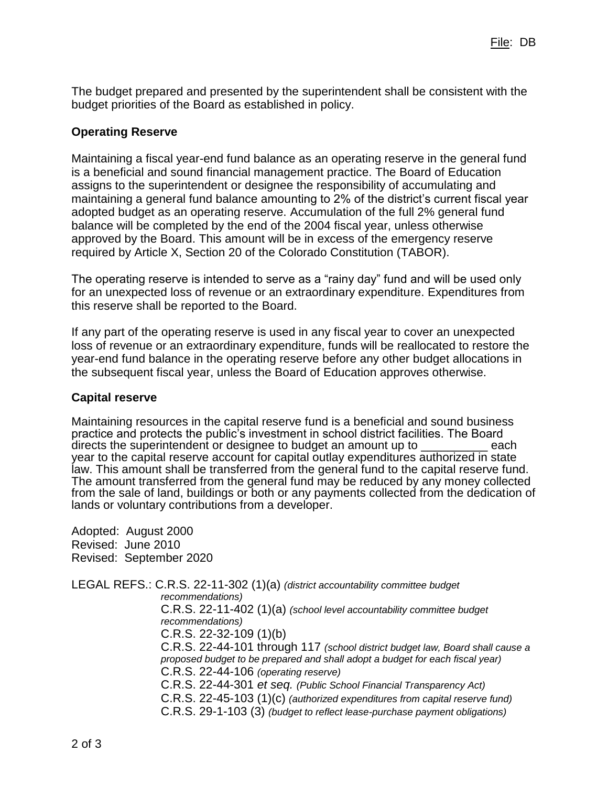The budget prepared and presented by the superintendent shall be consistent with the budget priorities of the Board as established in policy.

## **Operating Reserve**

Maintaining a fiscal year-end fund balance as an operating reserve in the general fund is a beneficial and sound financial management practice. The Board of Education assigns to the superintendent or designee the responsibility of accumulating and maintaining a general fund balance amounting to 2% of the district's current fiscal year adopted budget as an operating reserve. Accumulation of the full 2% general fund balance will be completed by the end of the 2004 fiscal year, unless otherwise approved by the Board. This amount will be in excess of the emergency reserve required by Article X, Section 20 of the Colorado Constitution (TABOR).

The operating reserve is intended to serve as a "rainy day" fund and will be used only for an unexpected loss of revenue or an extraordinary expenditure. Expenditures from this reserve shall be reported to the Board.

If any part of the operating reserve is used in any fiscal year to cover an unexpected loss of revenue or an extraordinary expenditure, funds will be reallocated to restore the year-end fund balance in the operating reserve before any other budget allocations in the subsequent fiscal year, unless the Board of Education approves otherwise.

#### **Capital reserve**

Maintaining resources in the capital reserve fund is a beneficial and sound business practice and protects the public's investment in school district facilities. The Board directs the superintendent or designee to budget an amount up to \_\_\_\_\_\_\_\_\_ each year to the capital reserve account for capital outlay expenditures authorized in state law. This amount shall be transferred from the general fund to the capital reserve fund. The amount transferred from the general fund may be reduced by any money collected from the sale of land, buildings or both or any payments collected from the dedication of lands or voluntary contributions from a developer.

Adopted: August 2000 Revised: June 2010 Revised: September 2020

LEGAL REFS.: C.R.S. 22-11-302 (1)(a) *(district accountability committee budget recommendations)* C.R.S. 22-11-402 (1)(a) *(school level accountability committee budget recommendations)* C.R.S. 22-32-109 (1)(b) C.R.S. 22-44-101 through 117 *(school district budget law, Board shall cause a proposed budget to be prepared and shall adopt a budget for each fiscal year)* C.R.S. 22-44-106 *(operating reserve)* C.R.S. 22-44-301 *et seq. (Public School Financial Transparency Act)* C.R.S. 22-45-103 (1)(c) *(authorized expenditures from capital reserve fund)* C.R.S. 29-1-103 (3) *(budget to reflect lease-purchase payment obligations)*